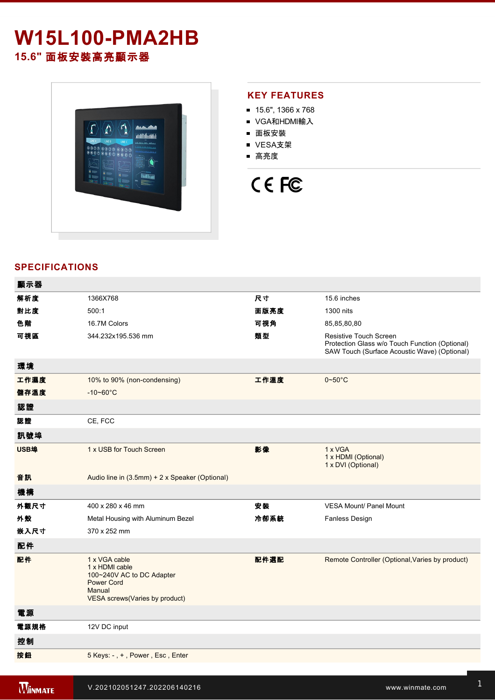# **W15L100-PMA2HB 15.6"** 面板安裝高亮顯示器



# **KEY FEATURES**

- 15.6", 1366 x 768
- VGA和HDMI輸入
- 面板安裝
- VESA支架
- 高亮度

# CE FC

# **SPECIFICATIONS**

| 顯示器  |                                                                                                                               |      |                                                                                                                          |
|------|-------------------------------------------------------------------------------------------------------------------------------|------|--------------------------------------------------------------------------------------------------------------------------|
| 解析度  | 1366X768                                                                                                                      | 尺寸   | 15.6 inches                                                                                                              |
| 對比度  | 500:1                                                                                                                         | 面版亮度 | 1300 nits                                                                                                                |
| 色階   | 16.7M Colors                                                                                                                  | 可視角  | 85,85,80,80                                                                                                              |
| 可視區  | 344.232x195.536 mm                                                                                                            | 類型   | Resistive Touch Screen<br>Protection Glass w/o Touch Function (Optional)<br>SAW Touch (Surface Acoustic Wave) (Optional) |
| 環境   |                                                                                                                               |      |                                                                                                                          |
| 工作濕度 | 10% to 90% (non-condensing)                                                                                                   | 工作溫度 | $0 - 50$ °C                                                                                                              |
| 儲存溫度 | $-10 - 60^{\circ}$ C                                                                                                          |      |                                                                                                                          |
| 認證   |                                                                                                                               |      |                                                                                                                          |
| 認證   | CE, FCC                                                                                                                       |      |                                                                                                                          |
| 訊號埠  |                                                                                                                               |      |                                                                                                                          |
| USB埠 | 1 x USB for Touch Screen                                                                                                      | 影像   | 1 x VGA<br>1 x HDMI (Optional)<br>1 x DVI (Optional)                                                                     |
| 音訊   | Audio line in (3.5mm) + 2 x Speaker (Optional)                                                                                |      |                                                                                                                          |
| 機構   |                                                                                                                               |      |                                                                                                                          |
| 外觀尺寸 | 400 x 280 x 46 mm                                                                                                             | 安裝   | <b>VESA Mount/ Panel Mount</b>                                                                                           |
| 外殼   | Metal Housing with Aluminum Bezel                                                                                             | 冷卻系統 | <b>Fanless Design</b>                                                                                                    |
| 嵌入尺寸 | 370 x 252 mm                                                                                                                  |      |                                                                                                                          |
| 配件   |                                                                                                                               |      |                                                                                                                          |
| 配件   | 1 x VGA cable<br>1 x HDMI cable<br>100~240V AC to DC Adapter<br><b>Power Cord</b><br>Manual<br>VESA screws(Varies by product) | 配件選配 | Remote Controller (Optional, Varies by product)                                                                          |
| 電源   |                                                                                                                               |      |                                                                                                                          |
| 電源規格 | 12V DC input                                                                                                                  |      |                                                                                                                          |
| 控制   |                                                                                                                               |      |                                                                                                                          |
| 按鈕   | 5 Keys: -, +, Power, Esc, Enter                                                                                               |      |                                                                                                                          |
|      |                                                                                                                               |      |                                                                                                                          |

windows and windows and windows and windows and windows and windows and windows and windows are the second of the